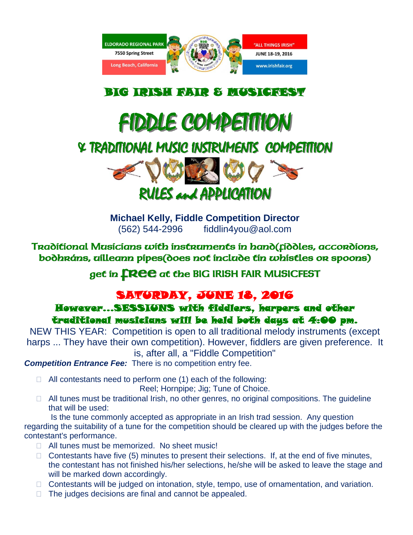

### BIG IRISH FAIR & MUSICFEST

# FIDDLE COMPETITION

### & TRADITIONAL MUSIC INSTRUMENTS COMPETITION



**Michael Kelly, Fiddle Competition Director** (562) 544-2996 fiddlin4you@aol.com

Traditional Musicians with instruments in hand(fiddles, accordions, bodhráns, uilleann pipes(does not include tin whistles or spoons)

get in **FREE** at the BIG IRISH FAIR MUSICFEST

## SATURDAY, JUNE 18, 2016

However...SESSIUNS with fiddlers, harpers and other traditional musicians will be held both days at 4:00 pm.

NEW THIS YEAR: Competition is open to all traditional melody instruments (except harps ... They have their own competition). However, fiddlers are given preference. It is, after all, a "Fiddle Competition"

*Competition Entrance Fee:* There is no competition entry fee.

 $\Box$  All contestants need to perform one (1) each of the following:

Reel; Hornpipe; Jig; Tune of Choice.

 $\Box$  All tunes must be traditional Irish, no other genres, no original compositions. The quideline that will be used:

Is the tune commonly accepted as appropriate in an Irish trad session. Any question regarding the suitability of a tune for the competition should be cleared up with the judges before the contestant's performance.

- □ All tunes must be memorized. No sheet music!
- $\Box$  Contestants have five (5) minutes to present their selections. If, at the end of five minutes, the contestant has not finished his/her selections, he/she will be asked to leave the stage and will be marked down accordingly.
- □ Contestants will be judged on intonation, style, tempo, use of ornamentation, and variation.
- $\Box$  The judges decisions are final and cannot be appealed.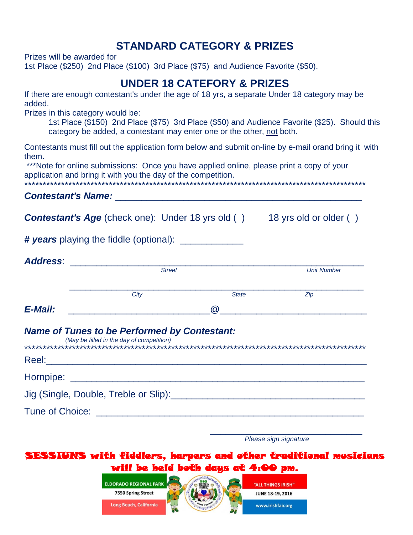#### **STANDARD CATEGORY & PRIZES**

Prizes will be awarded for

1st Place (\$250) 2nd Place (\$100) 3rd Place (\$75) and Audience Favorite (\$50).

#### **UNDER 18 CATEFORY & PRIZES**

If there are enough contestant's under the age of 18 yrs, a separate Under 18 category may be added.

Prizes in this category would be:

1st Place (\$150) 2nd Place (\$75) 3rd Place (\$50) and Audience Favorite (\$25). Should this category be added, a contestant may enter one or the other, not both.

Contestants must fill out the application form below and submit on-line by e-mail orand bring it with them.

\*\*\*Note for online submissions: Once you have applied online, please print a copy of your application and bring it with you the day of the competition.

\*\*\*\*\*\*\*\*\*\*\*\*\*\*\*\*\*\*\*\*\*\*\*\*\*\*\*\*\*\*\*\*\*\*\*\*\*\*\*\*\*\*\*\*\*\*\*\*\*\*\*\*\*\*\*\*\*\*\*\*\*\*\*\*\*\*\*\*\*\*\*\*\*\*\*\*\*\*\*\*\*\*\*\*\*\*\*\*\*\*\*\*\*

*Contestant's Name:* \_\_\_\_\_\_\_\_\_\_\_\_\_\_\_\_\_\_\_\_\_\_\_\_\_\_\_\_\_\_\_\_\_\_\_\_\_\_\_\_\_\_\_\_\_\_\_

| <b>Contestant's Age</b> (check one): Under 18 yrs old ( |  |  |
|---------------------------------------------------------|--|--|
|                                                         |  |  |

18 yrs old or older ( )

*# years* playing the fiddle (optional): \_\_\_\_\_\_\_\_\_\_\_\_

| <b>Address:</b> | <b>Street</b>                                                                                    |                                                                                                                 | <b>Unit Number</b> |  |
|-----------------|--------------------------------------------------------------------------------------------------|-----------------------------------------------------------------------------------------------------------------|--------------------|--|
|                 |                                                                                                  |                                                                                                                 |                    |  |
|                 | City                                                                                             | <b>State</b>                                                                                                    | Zip                |  |
| E-Mail:         |                                                                                                  | $\omega$                                                                                                        |                    |  |
|                 | <b>Name of Tunes to be Performed by Contestant:</b><br>(May be filled in the day of competition) |                                                                                                                 |                    |  |
|                 |                                                                                                  |                                                                                                                 |                    |  |
|                 |                                                                                                  | Jig (Single, Double, Treble or Slip): Manual Assembly Contact the Contract of Slip Superior Contact Times and C |                    |  |
|                 |                                                                                                  |                                                                                                                 |                    |  |
|                 |                                                                                                  |                                                                                                                 |                    |  |

*Please sign signature*

SESSIUNS with fiddlers, harpers and other traditional musicians will be held both days at 4:00 pm.

> **ELDORADO REGIONAL PARK 7550 Spring Street** Long Beach, California

"ALL THINGS IRISH" **JUNE 18-19, 2016** 

www.irishfair.org